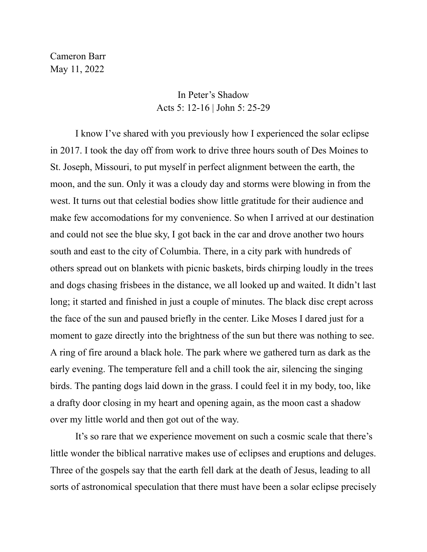Cameron Barr May 11, 2022

## In Peter's Shadow Acts 5: 12-16 | John 5: 25-29

I know I've shared with you previously how I experienced the solar eclipse in 2017. I took the day off from work to drive three hours south of Des Moines to St. Joseph, Missouri, to put myself in perfect alignment between the earth, the moon, and the sun. Only it was a cloudy day and storms were blowing in from the west. It turns out that celestial bodies show little gratitude for their audience and make few accomodations for my convenience. So when I arrived at our destination and could not see the blue sky, I got back in the car and drove another two hours south and east to the city of Columbia. There, in a city park with hundreds of others spread out on blankets with picnic baskets, birds chirping loudly in the trees and dogs chasing frisbees in the distance, we all looked up and waited. It didn't last long; it started and finished in just a couple of minutes. The black disc crept across the face of the sun and paused briefly in the center. Like Moses I dared just for a moment to gaze directly into the brightness of the sun but there was nothing to see. A ring of fire around a black hole. The park where we gathered turn as dark as the early evening. The temperature fell and a chill took the air, silencing the singing birds. The panting dogs laid down in the grass. I could feel it in my body, too, like a drafty door closing in my heart and opening again, as the moon cast a shadow over my little world and then got out of the way.

It's so rare that we experience movement on such a cosmic scale that there's little wonder the biblical narrative makes use of eclipses and eruptions and deluges. Three of the gospels say that the earth fell dark at the death of Jesus, leading to all sorts of astronomical speculation that there must have been a solar eclipse precisely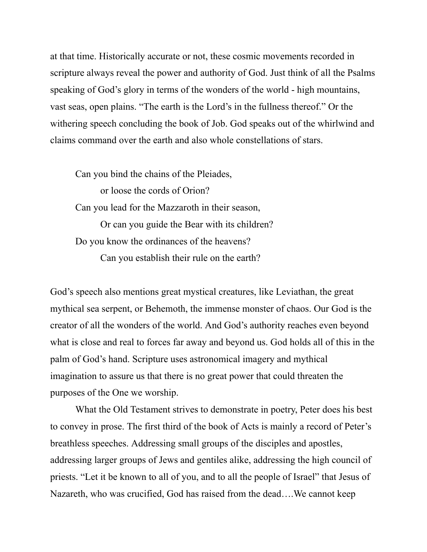at that time. Historically accurate or not, these cosmic movements recorded in scripture always reveal the power and authority of God. Just think of all the Psalms speaking of God's glory in terms of the wonders of the world - high mountains, vast seas, open plains. "The earth is the Lord's in the fullness thereof." Or the withering speech concluding the book of Job. God speaks out of the whirlwind and claims command over the earth and also whole constellations of stars.

Can you bind the chains of the Pleiades,

or loose the cords of Orion? Can you lead for the Mazzaroth in their season, Or can you guide the Bear with its children? Do you know the ordinances of the heavens? Can you establish their rule on the earth?

God's speech also mentions great mystical creatures, like Leviathan, the great mythical sea serpent, or Behemoth, the immense monster of chaos. Our God is the creator of all the wonders of the world. And God's authority reaches even beyond what is close and real to forces far away and beyond us. God holds all of this in the palm of God's hand. Scripture uses astronomical imagery and mythical imagination to assure us that there is no great power that could threaten the purposes of the One we worship.

What the Old Testament strives to demonstrate in poetry, Peter does his best to convey in prose. The first third of the book of Acts is mainly a record of Peter's breathless speeches. Addressing small groups of the disciples and apostles, addressing larger groups of Jews and gentiles alike, addressing the high council of priests. "Let it be known to all of you, and to all the people of Israel" that Jesus of Nazareth, who was crucified, God has raised from the dead….We cannot keep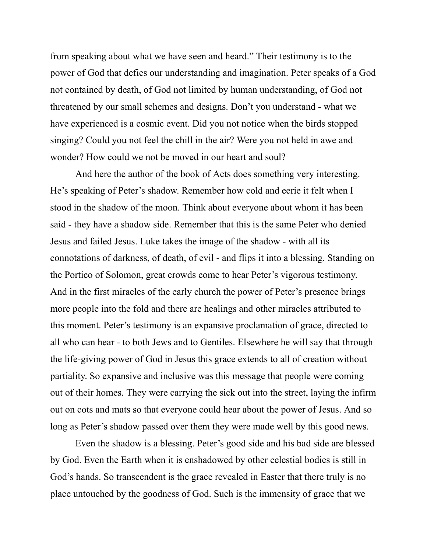from speaking about what we have seen and heard." Their testimony is to the power of God that defies our understanding and imagination. Peter speaks of a God not contained by death, of God not limited by human understanding, of God not threatened by our small schemes and designs. Don't you understand - what we have experienced is a cosmic event. Did you not notice when the birds stopped singing? Could you not feel the chill in the air? Were you not held in awe and wonder? How could we not be moved in our heart and soul?

And here the author of the book of Acts does something very interesting. He's speaking of Peter's shadow. Remember how cold and eerie it felt when I stood in the shadow of the moon. Think about everyone about whom it has been said - they have a shadow side. Remember that this is the same Peter who denied Jesus and failed Jesus. Luke takes the image of the shadow - with all its connotations of darkness, of death, of evil - and flips it into a blessing. Standing on the Portico of Solomon, great crowds come to hear Peter's vigorous testimony. And in the first miracles of the early church the power of Peter's presence brings more people into the fold and there are healings and other miracles attributed to this moment. Peter's testimony is an expansive proclamation of grace, directed to all who can hear - to both Jews and to Gentiles. Elsewhere he will say that through the life-giving power of God in Jesus this grace extends to all of creation without partiality. So expansive and inclusive was this message that people were coming out of their homes. They were carrying the sick out into the street, laying the infirm out on cots and mats so that everyone could hear about the power of Jesus. And so long as Peter's shadow passed over them they were made well by this good news.

Even the shadow is a blessing. Peter's good side and his bad side are blessed by God. Even the Earth when it is enshadowed by other celestial bodies is still in God's hands. So transcendent is the grace revealed in Easter that there truly is no place untouched by the goodness of God. Such is the immensity of grace that we